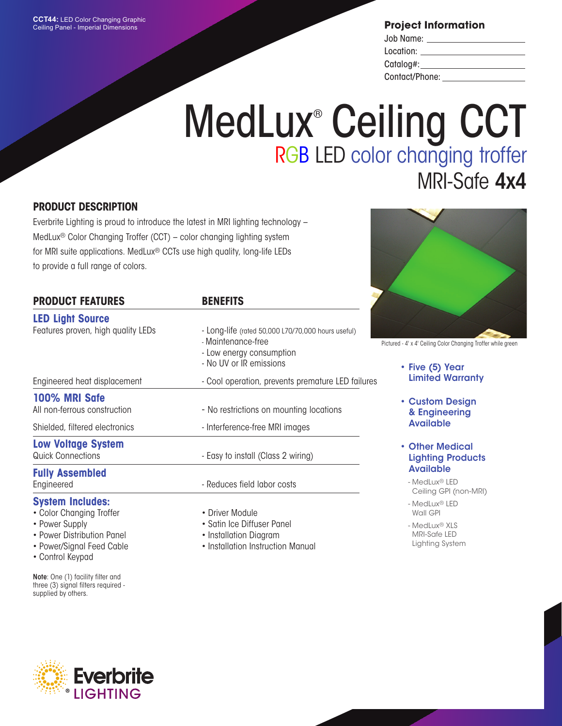**Project Information**

| Job Name:      |  |
|----------------|--|
| Location:      |  |
| Catalog#:      |  |
| Contact/Phone: |  |

# MedLux<sup>®</sup> Ceiling CCT RGB LED color changing troffer MRI-Safe 4x4

## **PRODUCT DESCRIPTION**

Everbrite Lighting is proud to introduce the latest in MRI lighting technology – MedLux® Color Changing Troffer (CCT) – color changing lighting system for MRI suite applications. MedLux® CCTs use high quality, long-life LEDs to provide a full range of colors.

| <b>PRODUCT FEATURES</b>                        | <b>BENEFITS</b>                                                                                                                 |
|------------------------------------------------|---------------------------------------------------------------------------------------------------------------------------------|
| <b>LED Light Source</b>                        |                                                                                                                                 |
| Features proven, high quality LEDs             | - Long-life (rated 50,000 L70/70,000 hours useful)<br>- Maintenance-free<br>- Low energy consumption<br>- No UV or IR emissions |
| Engineered heat displacement                   | - Cool operation, prevents premature LED failures                                                                               |
| 100% MRI Safe<br>All non-ferrous construction  | - No restrictions on mounting locations                                                                                         |
| Shielded, filtered electronics                 | - Interference-free MRI images                                                                                                  |
| <b>Low Voltage System</b><br>Quick Connections | - Easy to install (Class 2 wiring)                                                                                              |
| <b>Fully Assembled</b><br>Engineered           | - Reduces field labor costs                                                                                                     |
| <b>System Includes:</b>                        |                                                                                                                                 |

## • Color Changing Troffer

- Power Supply
- Power Distribution Panel
- Power/Signal Feed Cable
- 
- Control Keypad

Note: One (1) facility filter and three (3) signal filters required supplied by others.

- Driver Module
- Satin Ice Diffuser Panel
- Installation Diagram
- Installation Instruction Manual



Pictured - 4' x 4' Ceiling Color Changing Troffer while green

- Five (5) Year Limited Warranty
- Custom Design & Engineering Available
- Other Medical Lighting Products Available
	- MedLux® LED Ceiling GPI (non-MRI)
	- MedLux® LED Wall GPI
	- MedLux® XLS MRI-Safe LED Lighting System